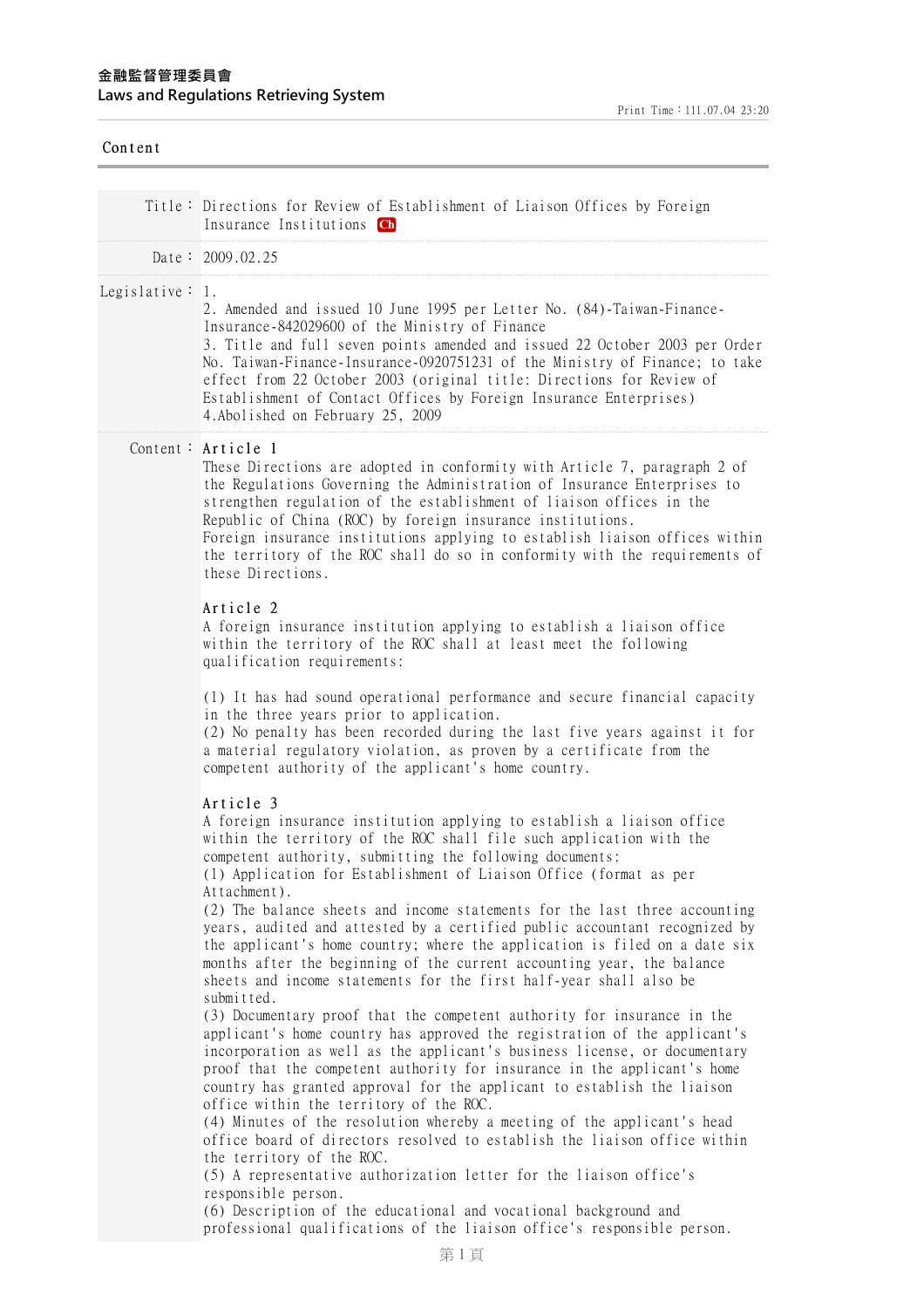# Content

|                     | Title: Directions for Review of Establishment of Liaison Offices by Foreign<br>Insurance Institutions Ch                                                                                                                                                                                                                                                                                                                                                                                                                                                                                                                                                                                                                            |
|---------------------|-------------------------------------------------------------------------------------------------------------------------------------------------------------------------------------------------------------------------------------------------------------------------------------------------------------------------------------------------------------------------------------------------------------------------------------------------------------------------------------------------------------------------------------------------------------------------------------------------------------------------------------------------------------------------------------------------------------------------------------|
|                     | Date: $2009.02.25$                                                                                                                                                                                                                                                                                                                                                                                                                                                                                                                                                                                                                                                                                                                  |
| Legislative $: 1$ . | 2. Amended and issued 10 June 1995 per Letter No. (84)-Taiwan-Finance-<br>Insurance-842029600 of the Ministry of Finance<br>3. Title and full seven points amended and issued 22 October 2003 per Order<br>No. Taiwan-Finance-Insurance-0920751231 of the Ministry of Finance; to take<br>effect from 22 October 2003 (original title: Directions for Review of<br>Establishment of Contact Offices by Foreign Insurance Enterprises)<br>4. Abolished on February 25, 2009                                                                                                                                                                                                                                                          |
|                     | Content: Article 1<br>These Directions are adopted in conformity with Article 7, paragraph 2 of<br>the Regulations Governing the Administration of Insurance Enterprises to<br>strengthen regulation of the establishment of liaison offices in the<br>Republic of China (ROC) by foreign insurance institutions.<br>Foreign insurance institutions applying to establish liaison offices within<br>the territory of the ROC shall do so in conformity with the requirements of<br>these Directions.                                                                                                                                                                                                                                |
|                     | Article 2<br>A foreign insurance institution applying to establish a liaison office<br>within the territory of the ROC shall at least meet the following<br>qualification requirements:                                                                                                                                                                                                                                                                                                                                                                                                                                                                                                                                             |
|                     | (1) It has had sound operational performance and secure financial capacity<br>in the three years prior to application.<br>(2) No penalty has been recorded during the last five years against it for<br>a material regulatory violation, as proven by a certificate from the<br>competent authority of the applicant's home country.                                                                                                                                                                                                                                                                                                                                                                                                |
|                     | Article 3<br>A foreign insurance institution applying to establish a liaison office<br>within the territory of the ROC shall file such application with the<br>competent authority, submitting the following documents:<br>(1) Application for Establishment of Liaison Office (format as per<br>Attachment).<br>(2) The balance sheets and income statements for the last three accounting<br>years, audited and attested by a certified public accountant recognized by<br>the applicant's home country; where the application is filed on a date six<br>months after the beginning of the current accounting year, the balance<br>sheets and income statements for the first half-year shall also be                             |
|                     | submitted.<br>(3) Documentary proof that the competent authority for insurance in the<br>applicant's home country has approved the registration of the applicant's<br>incorporation as well as the applicant's business license, or documentary<br>proof that the competent authority for insurance in the applicant's home<br>country has granted approval for the applicant to establish the liaison<br>office within the territory of the ROC.<br>(4) Minutes of the resolution whereby a meeting of the applicant's head<br>office board of directors resolved to establish the liaison office within<br>the territory of the ROC.<br>(5) A representative authorization letter for the liaison office's<br>responsible person. |
|                     | (6) Description of the educational and vocational background and                                                                                                                                                                                                                                                                                                                                                                                                                                                                                                                                                                                                                                                                    |

professional qualifications of the liaison office's responsible person.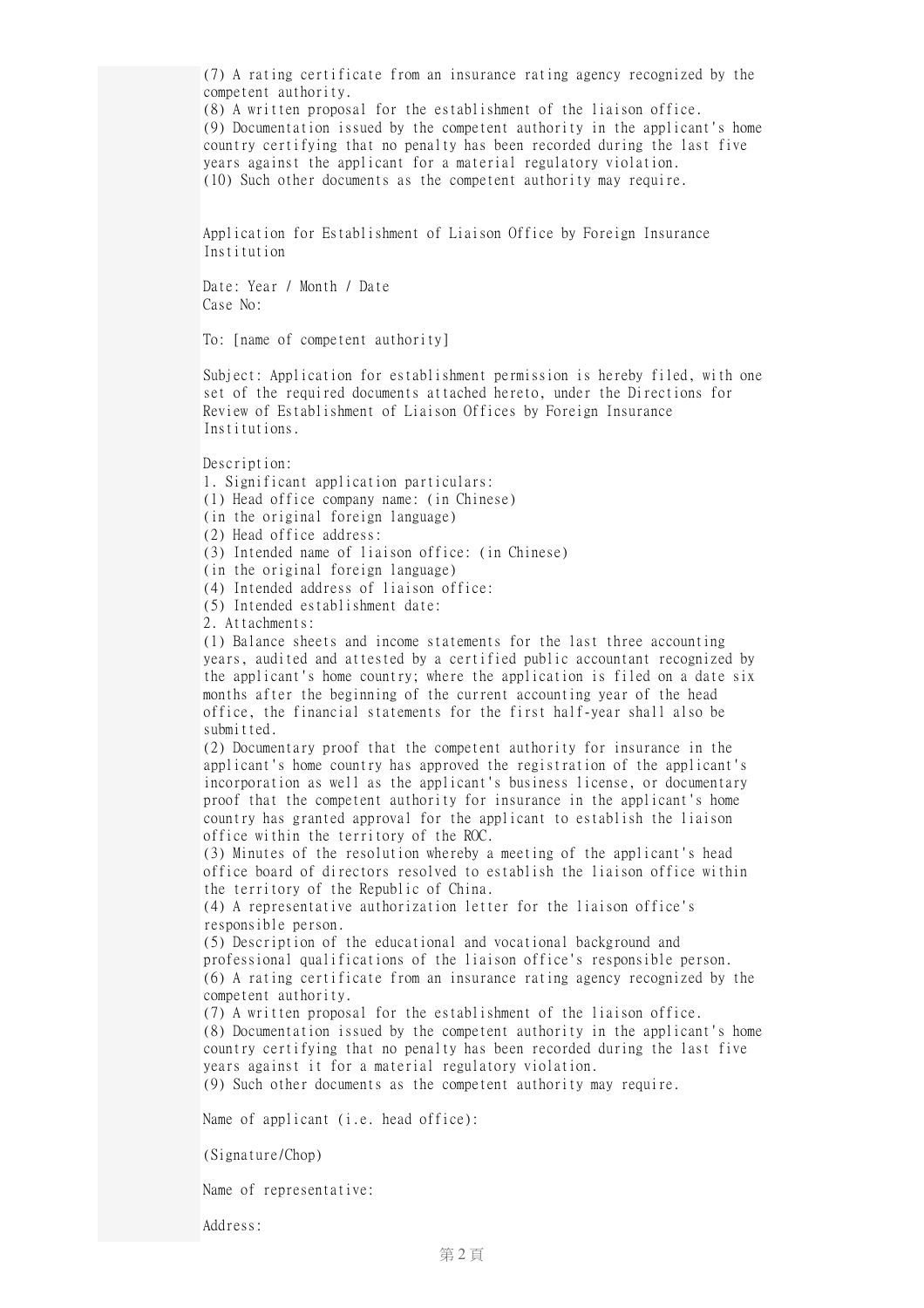(7) A rating certificate from an insurance rating agency recognized by the competent authority. (8) A written proposal for the establishment of the liaison office. (9) Documentation issued by the competent authority in the applicant's home country certifying that no penalty has been recorded during the last five years against the applicant for a material regulatory violation. (10) Such other documents as the competent authority may require. Application for Establishment of Liaison Office by Foreign Insurance Institution Date: Year / Month / Date Case No: To: [name of competent authority] Subject: Application for establishment permission is hereby filed, with one set of the required documents attached hereto, under the Directions for Review of Establishment of Liaison Offices by Foreign Insurance Institutions. Description: 1. Significant application particulars: (1) Head office company name: (in Chinese) (in the original foreign language) (2) Head office address: (3) Intended name of liaison office: (in Chinese) (in the original foreign language) (4) Intended address of liaison office: (5) Intended establishment date: 2. Attachments: (1) Balance sheets and income statements for the last three accounting years, audited and attested by a certified public accountant recognized by the applicant's home country; where the application is filed on a date six months after the beginning of the current accounting year of the head office, the financial statements for the first half-year shall also be submitted. (2) Documentary proof that the competent authority for insurance in the applicant's home country has approved the registration of the applicant's incorporation as well as the applicant's business license, or documentary proof that the competent authority for insurance in the applicant's home country has granted approval for the applicant to establish the liaison office within the territory of the ROC. (3) Minutes of the resolution whereby a meeting of the applicant's head office board of directors resolved to establish the liaison office within the territory of the Republic of China. (4) A representative authorization letter for the liaison office's responsible person. (5) Description of the educational and vocational background and professional qualifications of the liaison office's responsible person. (6) A rating certificate from an insurance rating agency recognized by the competent authority. (7) A written proposal for the establishment of the liaison office. (8) Documentation issued by the competent authority in the applicant's home country certifying that no penalty has been recorded during the last five years against it for a material regulatory violation. (9) Such other documents as the competent authority may require. Name of applicant (i.e. head office): (Signature/Chop) Name of representative:

Address: